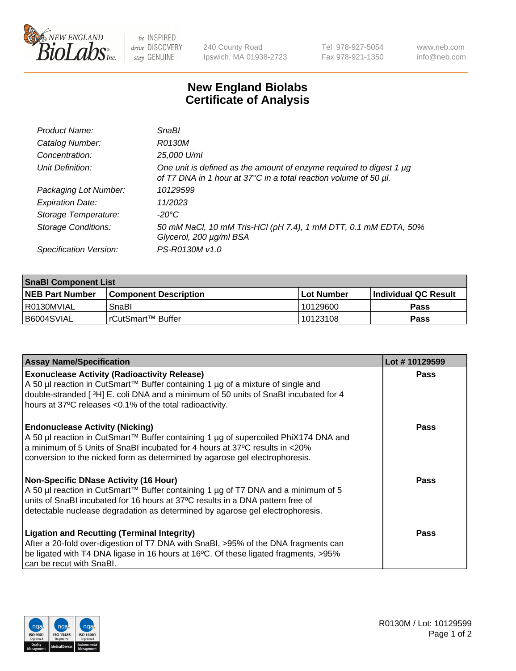

be INSPIRED drive DISCOVERY stay GENUINE

240 County Road Ipswich, MA 01938-2723 Tel 978-927-5054 Fax 978-921-1350 www.neb.com info@neb.com

## **New England Biolabs Certificate of Analysis**

| Product Name:              | SnaBl                                                                                                                                   |
|----------------------------|-----------------------------------------------------------------------------------------------------------------------------------------|
| Catalog Number:            | R0130M                                                                                                                                  |
| Concentration:             | 25,000 U/ml                                                                                                                             |
| Unit Definition:           | One unit is defined as the amount of enzyme required to digest 1 µg<br>of T7 DNA in 1 hour at 37°C in a total reaction volume of 50 µl. |
| Packaging Lot Number:      | 10129599                                                                                                                                |
| <b>Expiration Date:</b>    | 11/2023                                                                                                                                 |
| Storage Temperature:       | $-20^{\circ}$ C                                                                                                                         |
| <b>Storage Conditions:</b> | 50 mM NaCl, 10 mM Tris-HCl (pH 7.4), 1 mM DTT, 0.1 mM EDTA, 50%<br>Glycerol, 200 µg/ml BSA                                              |
| Specification Version:     | PS-R0130M v1.0                                                                                                                          |

| <b>SnaBI Component List</b> |                         |             |                             |  |
|-----------------------------|-------------------------|-------------|-----------------------------|--|
| <b>NEB Part Number</b>      | l Component Description | ⊺Lot Number | <b>Individual QC Result</b> |  |
| l R0130MVIAL                | SnaBl                   | 10129600    | Pass                        |  |
| B6004SVIAL                  | l rCutSmart™ Buffer_    | 10123108    | Pass                        |  |

| <b>Assay Name/Specification</b>                                                                                                                                                                                                                                                               | Lot #10129599 |
|-----------------------------------------------------------------------------------------------------------------------------------------------------------------------------------------------------------------------------------------------------------------------------------------------|---------------|
| <b>Exonuclease Activity (Radioactivity Release)</b><br>A 50 µl reaction in CutSmart™ Buffer containing 1 µg of a mixture of single and<br>double-stranded [3H] E. coli DNA and a minimum of 50 units of SnaBI incubated for 4<br>hours at 37°C releases <0.1% of the total radioactivity.     | Pass          |
| <b>Endonuclease Activity (Nicking)</b><br>A 50 µl reaction in CutSmart™ Buffer containing 1 µg of supercoiled PhiX174 DNA and<br>a minimum of 5 Units of SnaBI incubated for 4 hours at 37°C results in <20%<br>conversion to the nicked form as determined by agarose gel electrophoresis.   | <b>Pass</b>   |
| Non-Specific DNase Activity (16 Hour)<br>A 50 µl reaction in CutSmart™ Buffer containing 1 µg of T7 DNA and a minimum of 5<br>units of SnaBI incubated for 16 hours at 37°C results in a DNA pattern free of<br>detectable nuclease degradation as determined by agarose gel electrophoresis. | Pass          |
| <b>Ligation and Recutting (Terminal Integrity)</b><br>After a 20-fold over-digestion of T7 DNA with SnaBI, >95% of the DNA fragments can<br>be ligated with T4 DNA ligase in 16 hours at 16°C. Of these ligated fragments, >95%<br>can be recut with SnaBI.                                   | Pass          |